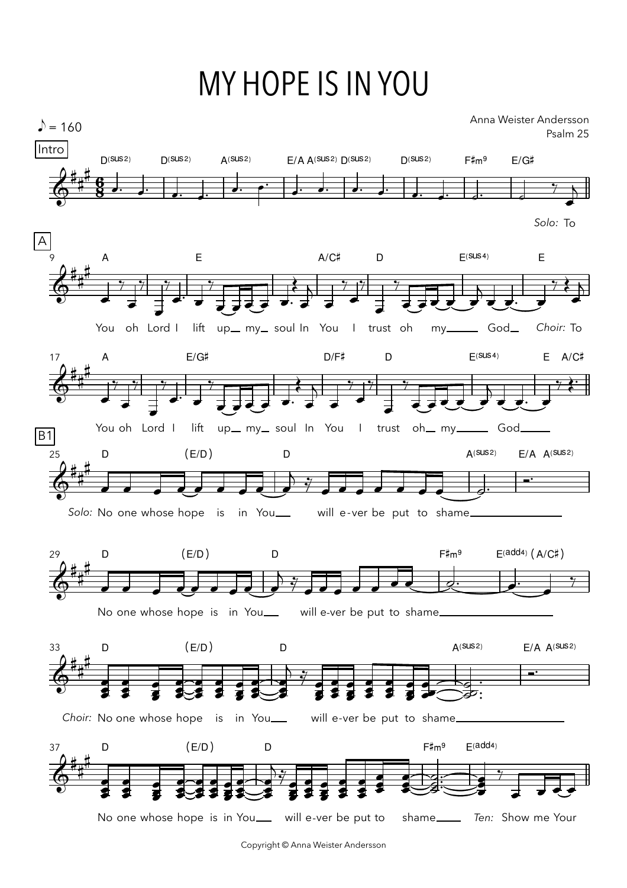## MY HOPE IS IN YOU



Copyright © Anna Weister Andersson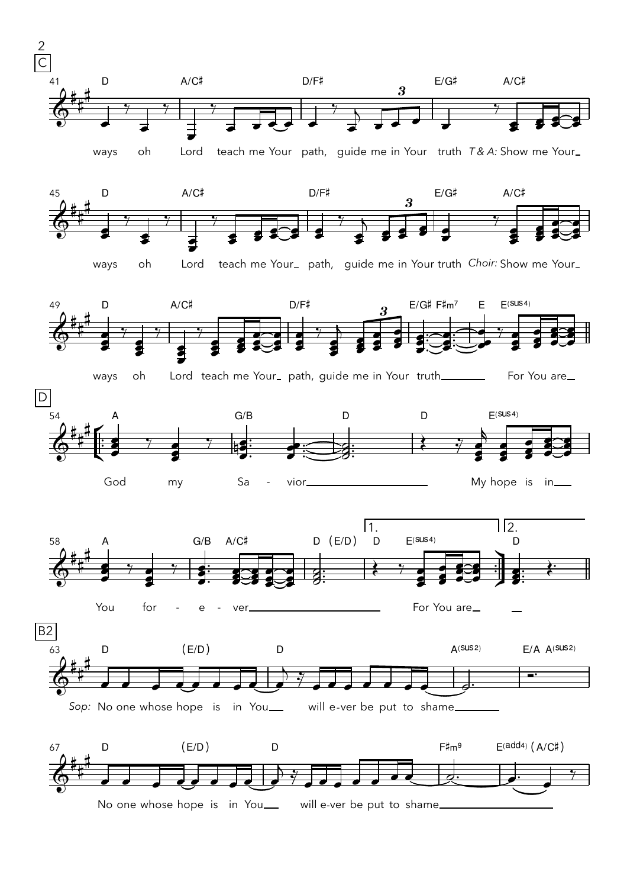